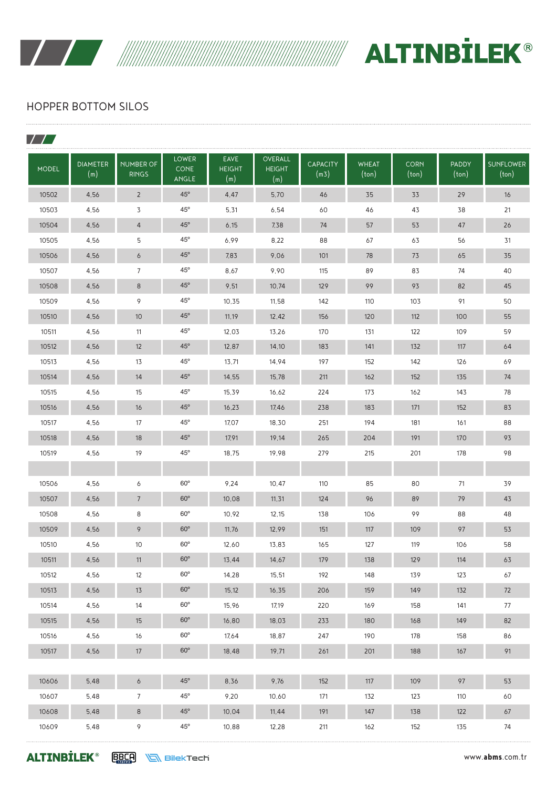

WANTEL ALTINBILEK®

# HOPPER BOTTOM SILOS

| <b>MODEL</b> | <b>DIAMETER</b><br>(m) | <b>NUMBER OF</b><br><b>RINGS</b> | <b>LOWER</b><br><b>CONE</b><br><b>ANGLE</b> | <b>EAVE</b><br><b>HEIGHT</b><br>(m) | <b>OVERALL</b><br><b>HEIGHT</b><br>(m) | <b>CAPACITY</b><br>(m3) | <b>WHEAT</b><br>(ton) | <b>CORN</b><br>(ton) | <b>PADDY</b><br>(ton) | <b>SUNFLOWER</b><br>(ton) |
|--------------|------------------------|----------------------------------|---------------------------------------------|-------------------------------------|----------------------------------------|-------------------------|-----------------------|----------------------|-----------------------|---------------------------|
| 10502        | 4.56                   | $\overline{2}$                   | $45^{\circ}$                                | 4.47                                | 5,70                                   | 46                      | 35                    | 33                   | 29                    | 16                        |
| 10503        | 4,56                   | 3                                | $45^{\circ}$                                | 5,31                                | 6,54                                   | 60                      | 46                    | 43                   | 38                    | 21                        |
| 10504        | 4,56                   | 4                                | $45^{\circ}$                                | 6,15                                | 7,38                                   | 74                      | 57                    | 53                   | 47                    | 26                        |
| 10505        | 4,56                   | 5                                | $45^{\circ}$                                | 6,99                                | 8,22                                   | 88                      | 67                    | 63                   | 56                    | 31                        |
| 10506        | 4,56                   | 6                                | $45^\circ$                                  | 7,83                                | 9,06                                   | 101                     | 78                    | 73                   | 65                    | 35                        |
| 10507        | 4.56                   | $\overline{7}$                   | $45^{\circ}$                                | 8.67                                | 9,90                                   | 115                     | 89                    | 83                   | 74                    | 40                        |
| 10508        | 4.56                   | 8                                | $45^{\circ}$                                | 9,51                                | 10,74                                  | 129                     | 99                    | 93                   | 82                    | 45                        |
| 10509        | 4,56                   | 9                                | $45^{\circ}$                                | 10,35                               | 11,58                                  | 142                     | 110                   | 103                  | 91                    | 50                        |
| 10510        | 4,56                   | 10                               | $45^{\circ}$                                | 11,19                               | 12,42                                  | 156                     | 120                   | 112                  | 100                   | 55                        |
| 10511        | 4,56                   | 11                               | $45^{\circ}$                                | 12,03                               | 13,26                                  | 170                     | 131                   | 122                  | 109                   | 59                        |
| 10512        | 4,56                   | 12                               | $45^{\circ}$                                | 12,87                               | 14,10                                  | 183                     | 141                   | 132                  | 117                   | 64                        |
| 10513        | 4,56                   | 13                               | $45^{\circ}$                                | 13,71                               | 14.94                                  | 197                     | 152                   | 142                  | 126                   | 69                        |
| 10514        | 4,56                   | 14                               | $45^{\circ}$                                | 14,55                               | 15,78                                  | 211                     | 162                   | 152                  | 135                   | 74                        |
| 10515        | 4,56                   | 15                               | $45^{\circ}$                                | 15,39                               | 16,62                                  | 224                     | 173                   | 162                  | 143                   | 78                        |
| 10516        | 4,56                   | 16                               | $45^{\circ}$                                | 16,23                               | 17,46                                  | 238                     | 183                   | 171                  | 152                   | 83                        |
| 10517        | 4,56                   | 17                               | $45^{\circ}$                                | 17,07                               | 18,30                                  | 251                     | 194                   | 181                  | 161                   | 88                        |
| 10518        | 4,56                   | 18                               | $45^\circ$                                  | 17,91                               | 19,14                                  | 265                     | 204                   | 191                  | 170                   | 93                        |
| 10519        | 4.56                   | 19                               | $45^{\circ}$                                | 18,75                               | 19,98                                  | 279                     | 215                   | 201                  | 178                   | 98                        |
|              |                        |                                  |                                             |                                     |                                        |                         |                       |                      |                       |                           |
| 10506        | 4.56                   | 6                                | $60^\circ$                                  | 9.24                                | 10,47                                  | 110                     | 85                    | 80                   | 71                    | 39                        |
| 10507        | 4,56                   | $\overline{7}$                   | $60^\circ$                                  | 10,08                               | 11, 31                                 | 124                     | 96                    | 89                   | 79                    | 43                        |
| 10508        | 4,56                   | 8                                | $60^\circ$                                  | 10,92                               | 12,15                                  | 138                     | 106                   | 99                   | 88                    | 48                        |
| 10509        | 4,56                   | 9                                | $60^\circ$                                  | 11,76                               | 12,99                                  | 151                     | 117                   | 109                  | 97                    | 53                        |
| 10510        | 4.56                   | 10                               | $60^\circ$                                  | 12,60                               | 13,83                                  | 165                     | 127                   | 119                  | 106                   | 58                        |
| 10511        | 4,56                   | 11                               | $60^\circ$                                  | 13,44                               | 14,67                                  | 179                     | 138                   | 129                  | 114                   | 63                        |
| 10512        | 4,56                   | 12                               | $60^{\circ}$                                | 14,28                               | 15,51                                  | 192                     | 148                   | 139                  | 123                   | 67                        |
| 10513        | 4,56                   | 13                               | $60^\circ$                                  | 15,12                               | 16, 35                                 | 206                     | 159                   | 149                  | 132                   | 72                        |
| 10514        | 4,56                   | 14                               | $60^{\circ}$                                | 15,96                               | 17,19                                  | 220                     | 169                   | 158                  | 141                   | 77                        |
| 10515        | 4,56                   | 15                               | $60^\circ$                                  | 16,80                               | 18,03                                  | 233                     | 180                   | 168                  | 149                   | 82                        |
| 10516        | 4,56                   | 16                               | $60^\circ$                                  | 17,64                               | 18,87                                  | 247                     | 190                   | 178                  | 158                   | 86                        |
| 10517        | 4,56                   | 17                               | $60^\circ$                                  | 18,48                               | 19,71                                  | 261                     | 201                   | 188                  | 167                   | 91                        |
|              |                        |                                  |                                             |                                     |                                        |                         |                       |                      |                       |                           |
| 10606        | 5,48                   | 6                                | $45^{\circ}$                                | 8,36                                | 9,76                                   | 152                     | 117                   | 109                  | 97                    | 53                        |
| 10607        | 5,48                   | $\overline{7}$                   | $45^{\circ}$                                | 9,20                                | 10,60                                  | 171                     | 132                   | 123                  | 110                   | 60                        |
| 10608        | 5,48                   | $\sf 8$                          | $45^{\circ}$                                | 10,04                               | 11,44                                  | 191                     | 147                   | 138                  | 122                   | 67                        |
| 10609        | 5,48                   | 9                                | $45^{\circ}$                                | 10,88                               | 12,28                                  | 211                     | 162                   | 152                  | 135                   | 74                        |

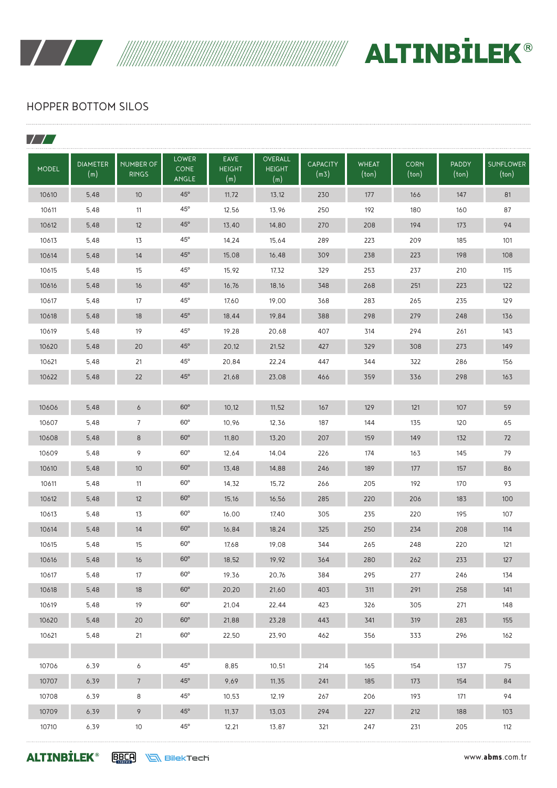

WANTEL ALTINBILEK®

# HOPPER BOTTOM SILOS

| <b>MODEL</b> | <b>DIAMETER</b><br>(m) | <b>NUMBER OF</b><br><b>RINGS</b> | <b>LOWER</b><br><b>CONE</b><br><b>ANGLE</b> | <b>EAVE</b><br><b>HEIGHT</b><br>(m) | OVERALL<br><b>HEIGHT</b><br>(m) | <b>CAPACITY</b><br>(m3) | <b>WHEAT</b><br>(ton) | <b>CORN</b><br>(ton) | <b>PADDY</b><br>(ton) | <b>SUNFLOWER</b><br>(ton) |
|--------------|------------------------|----------------------------------|---------------------------------------------|-------------------------------------|---------------------------------|-------------------------|-----------------------|----------------------|-----------------------|---------------------------|
| 10610        | 5,48                   | 10 <sup>°</sup>                  | $45^\circ$                                  | 11,72                               | 13,12                           | 230                     | 177                   | 166                  | 147                   | 81                        |
| 10611        | 5,48                   | 11                               | $45^{\circ}$                                | 12,56                               | 13,96                           | 250                     | 192                   | 180                  | 160                   | 87                        |
| 10612        | 5,48                   | 12                               | $45^\circ$                                  | 13,40                               | 14,80                           | 270                     | 208                   | 194                  | 173                   | 94                        |
| 10613        | 5,48                   | 13                               | $45^{\circ}$                                | 14,24                               | 15,64                           | 289                     | 223                   | 209                  | 185                   | 101                       |
| 10614        | 5,48                   | 14                               | $45^\circ$                                  | 15,08                               | 16,48                           | 309                     | 238                   | 223                  | 198                   | 108                       |
| 10615        | 5,48                   | 15                               | $45^\circ$                                  | 15,92                               | 17,32                           | 329                     | 253                   | 237                  | 210                   | 115                       |
| 10616        | 5,48                   | 16                               | $45^\circ$                                  | 16,76                               | 18,16                           | 348                     | 268                   | 251                  | 223                   | 122                       |
| 10617        | 5,48                   | 17                               | $45^{\circ}$                                | 17,60                               | 19,00                           | 368                     | 283                   | 265                  | 235                   | 129                       |
| 10618        | 5,48                   | 18                               | $45^\circ$                                  | 18,44                               | 19,84                           | 388                     | 298                   | 279                  | 248                   | 136                       |
| 10619        | 5,48                   | 19                               | $45^{\circ}$                                | 19,28                               | 20,68                           | 407                     | 314                   | 294                  | 261                   | 143                       |
| 10620        | 5,48                   | 20                               | $45^\circ$                                  | 20,12                               | 21,52                           | 427                     | 329                   | 308                  | 273                   | 149                       |
| 10621        | 5,48                   | 21                               | $45^{\circ}$                                | 20,84                               | 22,24                           | 447                     | 344                   | 322                  | 286                   | 156                       |
| 10622        | 5,48                   | 22                               | $45^{\circ}$                                | 21,68                               | 23,08                           | 466                     | 359                   | 336                  | 298                   | 163                       |
|              |                        |                                  |                                             |                                     |                                 |                         |                       |                      |                       |                           |
| 10606        | 5,48                   | 6                                | $60^\circ$                                  | 10,12                               | 11,52                           | 167                     | 129                   | 121                  | 107                   | 59                        |
| 10607        | 5,48                   | $\overline{7}$                   | $60^\circ$                                  | 10,96                               | 12,36                           | 187                     | 144                   | 135                  | 120                   | 65                        |
| 10608        | 5,48                   | 8                                | $60^\circ$                                  | 11,80                               | 13,20                           | 207                     | 159                   | 149                  | 132                   | 72                        |
| 10609        | 5,48                   | 9                                | $60^\circ$                                  | 12,64                               | 14,04                           | 226                     | 174                   | 163                  | 145                   | 79                        |
| 10610        | 5,48                   | 10                               | $60^\circ$                                  | 13,48                               | 14,88                           | 246                     | 189                   | 177                  | 157                   | 86                        |
| 10611        | 5,48                   | 11                               | $60^\circ$                                  | 14,32                               | 15,72                           | 266                     | 205                   | 192                  | 170                   | 93                        |
| 10612        | 5,48                   | 12                               | $60^\circ$                                  | 15,16                               | 16,56                           | 285                     | 220                   | 206                  | 183                   | 100                       |
| 10613        | 5,48                   | 13                               | $60^\circ$                                  | 16,00                               | 17,40                           | 305                     | 235                   | 220                  | 195                   | 107                       |
| 10614        | 5,48                   | 14                               | $60^\circ$                                  | 16,84                               | 18,24                           | 325                     | 250                   | 234                  | 208                   | 114                       |
| 10615        | 5,48                   | 15                               | $60^\circ$                                  | 17,68                               | 19,08                           | 344                     | 265                   | 248                  | 220                   | 121                       |
| 10616        | 5,48                   | 16                               | $60^\circ$                                  | 18,52                               | 19,92                           | 364                     | 280                   | 262                  | 233                   | 127                       |
| 10617        | 5,48                   | 17                               | $60^{\circ}$                                | 19,36                               | 20,76                           | 384                     | 295                   | 277                  | 246                   | 134                       |
| 10618        | 5,48                   | 18                               | $60^\circ$                                  | 20,20                               | 21,60                           | 403                     | 311                   | 291                  | 258                   | 141                       |
| 10619        | 5,48                   | 19                               | $60^{\circ}$                                | 21,04                               | 22,44                           | 423                     | 326                   | 305                  | 271                   | 148                       |
| 10620        | 5,48                   | 20                               | $60^\circ$                                  | 21,88                               | 23,28                           | 443                     | 341                   | 319                  | 283                   | 155                       |
| 10621        | 5,48                   | 21                               | $60^\mathrm{o}$                             | 22,50                               | 23,90                           | 462                     | 356                   | 333                  | 296                   | 162                       |
|              |                        |                                  |                                             |                                     |                                 |                         |                       |                      |                       |                           |
| 10706        | 6,39                   | 6                                | $45^{\circ}$                                | 8,85                                | 10,51                           | 214                     | 165                   | 154                  | 137                   | 75                        |
| 10707        | 6,39                   | $\overline{7}$                   | $45^{\circ}$                                | 9,69                                | 11,35                           | 241                     | 185                   | 173                  | 154                   | 84                        |
| 10708        | 6,39                   | 8                                | $45^{\circ}$                                | 10,53                               | 12,19                           | 267                     | 206                   | 193                  | 171                   | 94                        |
| 10709        | 6,39                   | 9                                | $45^{\circ}$                                | 11, 37                              | 13,03                           | 294                     | 227                   | 212                  | 188                   | 103                       |
| 10710        | 6,39                   | 10                               | $45^{\circ}$                                | 12,21                               | 13,87                           | 321                     | 247                   | 231                  | 205                   | 112                       |

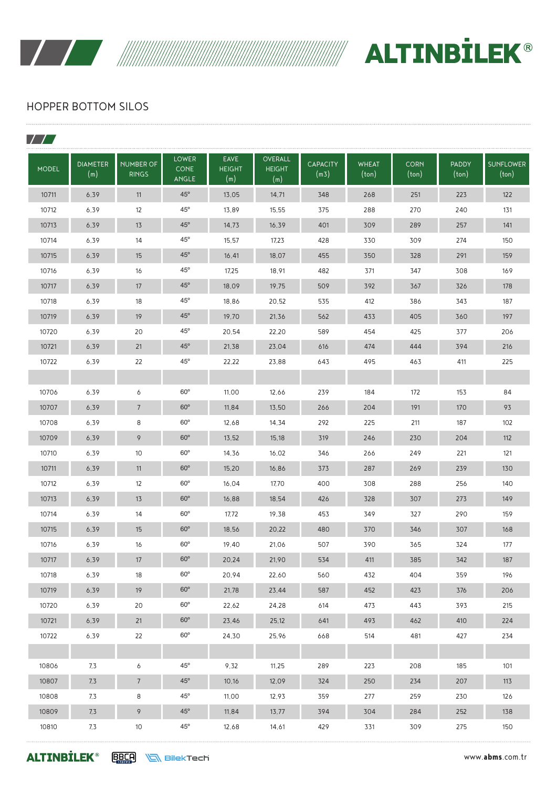

 $\overline{\phantom{a}}$ 

WANTEL ALTINBILEK®

# HOPPER BOTTOM SILOS

| <b>MODEL</b> | <b>DIAMETER</b><br>(m) | <b>NUMBER OF</b><br><b>RINGS</b> | <b>LOWER</b><br><b>CONE</b><br>ANGLE | <b>EAVE</b><br><b>HEIGHT</b><br>(m) | <b>OVERALL</b><br><b>HEIGHT</b><br>(m) | <b>CAPACITY</b><br>(m3) | <b>WHEAT</b><br>(ton) | <b>CORN</b><br>(ton) | <b>PADDY</b><br>$(\text{ton})$ | <b>SUNFLOWER</b><br>(ton) |
|--------------|------------------------|----------------------------------|--------------------------------------|-------------------------------------|----------------------------------------|-------------------------|-----------------------|----------------------|--------------------------------|---------------------------|
| 10711        | 6,39                   | 11                               | $45^\circ$                           | 13,05                               | 14,71                                  | 348                     | 268                   | 251                  | 223                            | 122                       |
| 10712        | 6,39                   | 12                               | $45^{\circ}$                         | 13,89                               | 15,55                                  | 375                     | 288                   | 270                  | 240                            | 131                       |
| 10713        | 6,39                   | 13                               | $45^\circ$                           | 14,73                               | 16,39                                  | 401                     | 309                   | 289                  | 257                            | 141                       |
| 10714        | 6.39                   | 14                               | $45^{\circ}$                         | 15,57                               | 17,23                                  | 428                     | 330                   | 309                  | 274                            | 150                       |
| 10715        | 6,39                   | 15                               | $45^\circ$                           | 16,41                               | 18,07                                  | 455                     | 350                   | 328                  | 291                            | 159                       |
| 10716        | 6,39                   | 16                               | $45^{\circ}$                         | 17,25                               | 18,91                                  | 482                     | 371                   | 347                  | 308                            | 169                       |
| 10717        | 6,39                   | 17                               | $45^\circ$                           | 18,09                               | 19,75                                  | 509                     | 392                   | 367                  | 326                            | 178                       |
| 10718        | 6,39                   | 18                               | $45^{\circ}$                         | 18,86                               | 20,52                                  | 535                     | 412                   | 386                  | 343                            | 187                       |
| 10719        | 6,39                   | 19                               | $45^\circ$                           | 19,70                               | 21,36                                  | 562                     | 433                   | 405                  | 360                            | 197                       |
| 10720        | 6,39                   | 20                               | $45^{\circ}$                         | 20,54                               | 22,20                                  | 589                     | 454                   | 425                  | 377                            | 206                       |
| 10721        | 6,39                   | 21                               | $45^\circ$                           | 21,38                               | 23,04                                  | 616                     | 474                   | 444                  | 394                            | 216                       |
| 10722        | 6,39                   | 22                               | $45^{\circ}$                         | 22,22                               | 23,88                                  | 643                     | 495                   | 463                  | 411                            | 225                       |
|              |                        |                                  |                                      |                                     |                                        |                         |                       |                      |                                |                           |
| 10706        | 6,39                   | 6                                | $60^\circ$                           | 11,00                               | 12,66                                  | 239                     | 184                   | 172                  | 153                            | 84                        |
| 10707        | 6,39                   | $\overline{7}$                   | $60^\circ$                           | 11,84                               | 13,50                                  | 266                     | 204                   | 191                  | 170                            | 93                        |
| 10708        | 6,39                   | 8                                | $60^\circ$                           | 12,68                               | 14,34                                  | 292                     | 225                   | 211                  | 187                            | 102                       |
| 10709        | 6,39                   | 9                                | $60^\circ$                           | 13,52                               | 15,18                                  | 319                     | 246                   | 230                  | 204                            | 112                       |
| 10710        | 6,39                   | 10                               | $60^\circ$                           | 14,36                               | 16,02                                  | 346                     | 266                   | 249                  | 221                            | 121                       |
| 10711        | 6,39                   | 11                               | $60^\circ$                           | 15,20                               | 16,86                                  | 373                     | 287                   | 269                  | 239                            | 130                       |
| 10712        | 6,39                   | 12                               | $60^{\circ}$                         | 16,04                               | 17,70                                  | 400                     | 308                   | 288                  | 256                            | 140                       |
| 10713        | 6,39                   | 13                               | $60^\circ$                           | 16,88                               | 18,54                                  | 426                     | 328                   | 307                  | 273                            | 149                       |
| 10714        | 6,39                   | 14                               | $60^\circ$                           | 17,72                               | 19,38                                  | 453                     | 349                   | 327                  | 290                            | 159                       |
| 10715        | 6,39                   | 15                               | $60^\circ$                           | 18,56                               | 20,22                                  | 480                     | 370                   | 346                  | 307                            | 168                       |
| 10716        | 6,39                   | 16                               | $60^\circ$                           | 19,40                               | 21,06                                  | 507                     | 390                   | 365                  | 324                            | 177                       |
| 10717        | 6,39                   | 17                               | $60^\mathrm{o}$                      | 20,24                               | 21,90                                  | 534                     | 411                   | 385                  | 342                            | 187                       |
| 10718        | 6,39                   | 18                               | $60^{\circ}$                         | 20,94                               | 22,60                                  | 560                     | 432                   | 404                  | 359                            | 196                       |
| 10719        | 6,39                   | 19                               | $60^\circ$                           | 21,78                               | 23,44                                  | 587                     | 452                   | 423                  | 376                            | 206                       |
| 10720        | 6,39                   | 20                               | $60^{\circ}$                         | 22,62                               | 24,28                                  | 614                     | 473                   | 443                  | 393                            | 215                       |
| 10721        | 6,39                   | 21                               | $60^\circ$                           | 23,46                               | 25,12                                  | 641                     | 493                   | 462                  | 410                            | 224                       |
| 10722        | 6,39                   | 22                               | $60^{\circ}$                         | 24,30                               | 25,96                                  | 668                     | 514                   | 481                  | 427                            | 234                       |
|              |                        |                                  |                                      |                                     |                                        |                         |                       |                      |                                |                           |
| 10806        | 7,3                    | 6                                | $45^{\circ}$                         | 9,32                                | 11,25                                  | 289                     | 223                   | 208                  | 185                            | 101                       |
| 10807        | 7,3                    | $7\overline{ }$                  | $45^{\rm o}$                         | 10,16                               | 12,09                                  | 324                     | 250                   | 234                  | 207                            | 113                       |
| 10808        | 7,3                    | 8                                | $45^{\circ}$                         | 11,00                               | 12,93                                  | 359                     | 277                   | 259                  | 230                            | 126                       |
| 10809        | 7,3                    | 9                                | $45^{\circ}$                         | 11,84                               | 13,77                                  | 394                     | 304                   | 284                  | 252                            | 138                       |
| 10810        | 7,3                    | $10$                             | $45^{\circ}$                         | 12,68                               | 14,61                                  | 429                     | 331                   | 309                  | 275                            | 150                       |

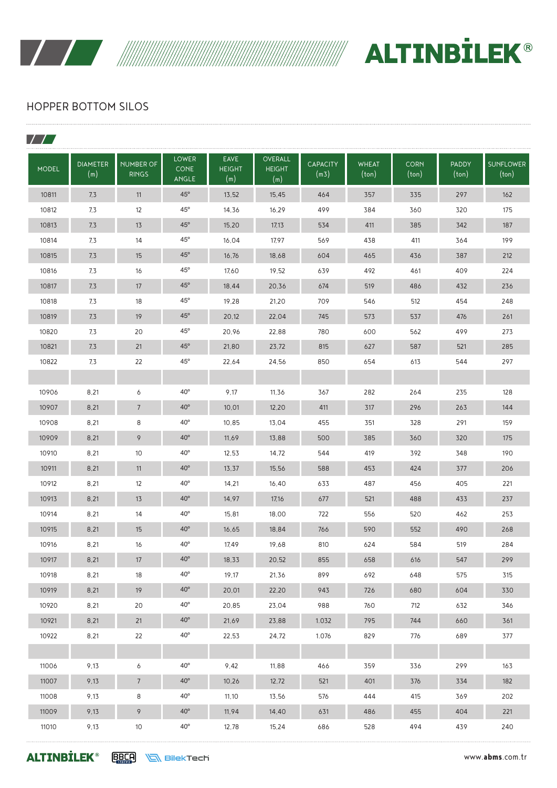

 $\overline{\phantom{a}}$ 

WANTEL ALTINBILEK®

## HOPPER BOTTOM SILOS

| <b>MODEL</b> | <b>DIAMETER</b><br>(m) | <b>NUMBER OF</b><br><b>RINGS</b> | <b>LOWER</b><br><b>CONE</b><br>ANGLE | <b>EAVE</b><br><b>HEIGHT</b><br>(m) | <b>OVERALL</b><br><b>HEIGHT</b><br>(m) | <b>CAPACITY</b><br>(m3) | <b>WHEAT</b><br>$(\text{ton})$ | <b>CORN</b><br>(ton) | <b>PADDY</b><br>(ton) | <b>SUNFLOWER</b><br>(ton) |
|--------------|------------------------|----------------------------------|--------------------------------------|-------------------------------------|----------------------------------------|-------------------------|--------------------------------|----------------------|-----------------------|---------------------------|
| 10811        | 7,3                    | 11                               | $45^{\circ}$                         | 13,52                               | 15,45                                  | 464                     | 357                            | 335                  | 297                   | 162                       |
| 10812        | 7,3                    | 12                               | $45^{\circ}$                         | 14,36                               | 16,29                                  | 499                     | 384                            | 360                  | 320                   | 175                       |
| 10813        | 7,3                    | 13                               | $45^\circ$                           | 15,20                               | 17,13                                  | 534                     | 411                            | 385                  | 342                   | 187                       |
| 10814        | 7,3                    | 14                               | $45^{\circ}$                         | 16,04                               | 17,97                                  | 569                     | 438                            | 411                  | 364                   | 199                       |
| 10815        | 7,3                    | 15                               | $45^\circ$                           | 16,76                               | 18,68                                  | 604                     | 465                            | 436                  | 387                   | 212                       |
| 10816        | 7,3                    | 16                               | $45^{\circ}$                         | 17,60                               | 19,52                                  | 639                     | 492                            | 461                  | 409                   | 224                       |
| 10817        | 7,3                    | 17                               | $45^\circ$                           | 18,44                               | 20,36                                  | 674                     | 519                            | 486                  | 432                   | 236                       |
| 10818        | 7,3                    | 18                               | $45^{\circ}$                         | 19,28                               | 21,20                                  | 709                     | 546                            | 512                  | 454                   | 248                       |
| 10819        | 7,3                    | 19                               | $45^{\circ}$                         | 20,12                               | 22,04                                  | 745                     | 573                            | 537                  | 476                   | 261                       |
| 10820        | 7,3                    | 20                               | $45^{\circ}$                         | 20,96                               | 22,88                                  | 780                     | 600                            | 562                  | 499                   | 273                       |
| 10821        | 7,3                    | 21                               | $45^\circ$                           | 21,80                               | 23,72                                  | 815                     | 627                            | 587                  | 521                   | 285                       |
| 10822        | 7,3                    | 22                               | $45^{\circ}$                         | 22,64                               | 24,56                                  | 850                     | 654                            | 613                  | 544                   | 297                       |
|              |                        |                                  |                                      |                                     |                                        |                         |                                |                      |                       |                           |
| 10906        | 8,21                   | 6                                | $40^{\circ}$                         | 9,17                                | 11,36                                  | 367                     | 282                            | 264                  | 235                   | 128                       |
| 10907        | 8,21                   | $\overline{7}$                   | $40^\circ$                           | 10,01                               | 12,20                                  | 411                     | 317                            | 296                  | 263                   | 144                       |
| 10908        | 8,21                   | 8                                | $40^{\circ}$                         | 10,85                               | 13,04                                  | 455                     | 351                            | 328                  | 291                   | 159                       |
| 10909        | 8,21                   | 9                                | $40^{\circ}$                         | 11,69                               | 13,88                                  | 500                     | 385                            | 360                  | 320                   | 175                       |
| 10910        | 8,21                   | 10                               | $40^{\circ}$                         | 12,53                               | 14,72                                  | 544                     | 419                            | 392                  | 348                   | 190                       |
| 10911        | 8,21                   | 11                               | $40^\circ$                           | 13,37                               | 15,56                                  | 588                     | 453                            | 424                  | 377                   | 206                       |
| 10912        | 8,21                   | 12                               | $40^{\circ}$                         | 14,21                               | 16,40                                  | 633                     | 487                            | 456                  | 405                   | 221                       |
| 10913        | 8,21                   | 13                               | $40^\circ$                           | 14,97                               | 17,16                                  | 677                     | 521                            | 488                  | 433                   | 237                       |
| 10914        | 8,21                   | 14                               | $40^{\circ}$                         | 15,81                               | 18,00                                  | 722                     | 556                            | 520                  | 462                   | 253                       |
| 10915        | 8,21                   | 15                               | $40^\circ$                           | 16,65                               | 18,84                                  | 766                     | 590                            | 552                  | 490                   | 268                       |
| 10916        | 8,21                   | 16                               | $40^{\circ}$                         | 17,49                               | 19,68                                  | 810                     | 624                            | 584                  | 519                   | 284                       |
| 10917        | 8,21                   | 17                               | $40^{\rm o}$                         | 18,33                               | 20,52                                  | 855                     | 658                            | 616                  | 547                   | 299                       |
| 10918        | 8,21                   | 18                               | $40^{\circ}$                         | 19,17                               | 21,36                                  | 899                     | 692                            | 648                  | 575                   | 315                       |
| 10919        | 8,21                   | 19                               | $40^{\circ}$                         | 20,01                               | 22,20                                  | 943                     | 726                            | 680                  | 604                   | 330                       |
| 10920        | 8,21                   | 20                               | $40^{\circ}$                         | 20,85                               | 23,04                                  | 988                     | 760                            | 712                  | 632                   | 346                       |
| 10921        | 8,21                   | 21                               | $40^{\circ}$                         | 21,69                               | 23,88                                  | 1.032                   | 795                            | 744                  | 660                   | 361                       |
| 10922        | 8,21                   | 22                               | $40^{\circ}$                         | 22,53                               | 24,72                                  | 1.076                   | 829                            | 776                  | 689                   | 377                       |
|              |                        |                                  |                                      |                                     |                                        |                         |                                |                      |                       |                           |
| 11006        | 9,13                   | 6                                | $40^{\circ}$                         | 9,42                                | 11,88                                  | 466                     | 359                            | 336                  | 299                   | 163                       |
| 11007        | 9,13                   | $7\overline{ }$                  | $40^{\circ}$                         | 10,26                               | 12,72                                  | 521                     | 401                            | 376                  | 334                   | 182                       |
| 11008        | 9,13                   | 8                                | $40^{\circ}$                         | 11,10                               | 13,56                                  | 576                     | 444                            | 415                  | 369                   | 202                       |
| 11009        | 9,13                   | 9                                | $40^{\circ}$                         | 11,94                               | 14,40                                  | 631                     | 486                            | 455                  | 404                   | 221                       |
| 11010        | 9,13                   | 10                               | $40^{\rm o}$                         | 12,78                               | 15,24                                  | 686                     | 528                            | 494                  | 439                   | 240                       |